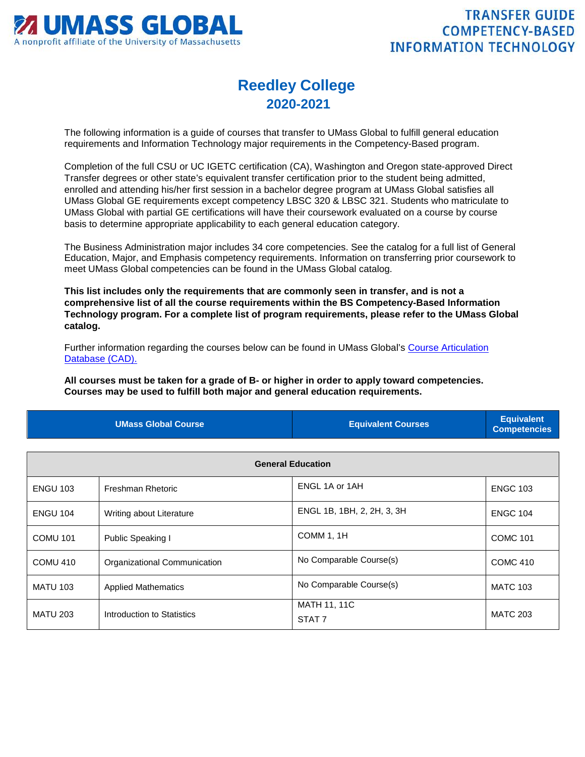

## **Reedley College 2020-2021**

The following information is a guide of courses that transfer to UMass Global to fulfill general education requirements and Information Technology major requirements in the Competency-Based program.

Completion of the full CSU or UC IGETC certification (CA), Washington and Oregon state-approved Direct Transfer degrees or other state's equivalent transfer certification prior to the student being admitted, enrolled and attending his/her first session in a bachelor degree program at UMass Global satisfies all UMass Global GE requirements except competency LBSC 320 & LBSC 321. Students who matriculate to UMass Global with partial GE certifications will have their coursework evaluated on a course by course basis to determine appropriate applicability to each general education category.

The Business Administration major includes 34 core competencies. See the catalog for a full list of General Education, Major, and Emphasis competency requirements. Information on transferring prior coursework to meet UMass Global competencies can be found in the UMass Global catalog.

**This list includes only the requirements that are commonly seen in transfer, and is not a comprehensive list of all the course requirements within the BS Competency-Based Information Technology program. For a complete list of program requirements, please refer to the UMass Global catalog.**

Further information regarding the courses below can be found in UMass Global's [Course Articulation](http://services.umassglobal.edu/studentservices/TransferCredit/)  [Database \(CAD\).](http://services.umassglobal.edu/studentservices/TransferCredit/) 

**All courses must be taken for a grade of B- or higher in order to apply toward competencies. Courses may be used to fulfill both major and general education requirements.** 

| <b>UMass Global Course</b> | <b>Equivalent Courses</b> | <b>Equivalent</b><br><b>Competencies</b> |
|----------------------------|---------------------------|------------------------------------------|
|                            |                           |                                          |

| <b>General Education</b> |                              |                                          |                 |
|--------------------------|------------------------------|------------------------------------------|-----------------|
| <b>ENGU 103</b>          | Freshman Rhetoric            | ENGL 1A or 1AH                           | <b>ENGC 103</b> |
| <b>ENGU 104</b>          | Writing about Literature     | ENGL 1B, 1BH, 2, 2H, 3, 3H               | <b>ENGC 104</b> |
| <b>COMU 101</b>          | Public Speaking I            | COMM 1, 1H                               | <b>COMC 101</b> |
| <b>COMU 410</b>          | Organizational Communication | No Comparable Course(s)                  | <b>COMC 410</b> |
| <b>MATU 103</b>          | <b>Applied Mathematics</b>   | No Comparable Course(s)                  | <b>MATC 103</b> |
| <b>MATU 203</b>          | Introduction to Statistics   | <b>MATH 11, 11C</b><br>STAT <sub>7</sub> | <b>MATC 203</b> |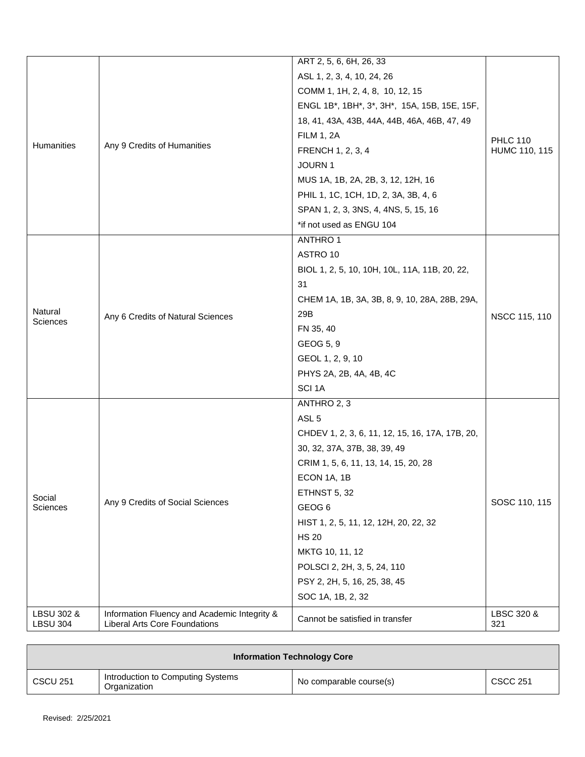| Humanities                    | Any 9 Credits of Humanities                                                          | ART 2, 5, 6, 6H, 26, 33<br>ASL 1, 2, 3, 4, 10, 24, 26<br>COMM 1, 1H, 2, 4, 8, 10, 12, 15<br>ENGL 1B*, 1BH*, 3*, 3H*, 15A, 15B, 15E, 15F,<br>18, 41, 43A, 43B, 44A, 44B, 46A, 46B, 47, 49<br><b>FILM 1, 2A</b><br>FRENCH 1, 2, 3, 4<br>JOURN 1<br>MUS 1A, 1B, 2A, 2B, 3, 12, 12H, 16<br>PHIL 1, 1C, 1CH, 1D, 2, 3A, 3B, 4, 6                                                    | <b>PHLC 110</b><br>HUMC 110, 115 |
|-------------------------------|--------------------------------------------------------------------------------------|--------------------------------------------------------------------------------------------------------------------------------------------------------------------------------------------------------------------------------------------------------------------------------------------------------------------------------------------------------------------------------|----------------------------------|
|                               |                                                                                      | SPAN 1, 2, 3, 3NS, 4, 4NS, 5, 15, 16<br>*if not used as ENGU 104                                                                                                                                                                                                                                                                                                               |                                  |
| Natural<br><b>Sciences</b>    | Any 6 Credits of Natural Sciences                                                    | <b>ANTHRO1</b><br>ASTRO 10<br>BIOL 1, 2, 5, 10, 10H, 10L, 11A, 11B, 20, 22,<br>31<br>CHEM 1A, 1B, 3A, 3B, 8, 9, 10, 28A, 28B, 29A,<br>29B<br>FN 35, 40<br>GEOG 5, 9<br>GEOL 1, 2, 9, 10<br>PHYS 2A, 2B, 4A, 4B, 4C<br>SCI <sub>1A</sub>                                                                                                                                        | NSCC 115, 110                    |
| Social<br>Sciences            | Any 9 Credits of Social Sciences                                                     | ANTHRO 2, 3<br>ASL <sub>5</sub><br>CHDEV 1, 2, 3, 6, 11, 12, 15, 16, 17A, 17B, 20,<br>30, 32, 37A, 37B, 38, 39, 49<br>CRIM 1, 5, 6, 11, 13, 14, 15, 20, 28<br>ECON 1A, 1B<br>ETHNST 5, 32<br>GEOG <sub>6</sub><br>HIST 1, 2, 5, 11, 12, 12H, 20, 22, 32<br><b>HS 20</b><br>MKTG 10, 11, 12<br>POLSCI 2, 2H, 3, 5, 24, 110<br>PSY 2, 2H, 5, 16, 25, 38, 45<br>SOC 1A, 1B, 2, 32 | SOSC 110, 115                    |
| LBSU 302 &<br><b>LBSU 304</b> | Information Fluency and Academic Integrity &<br><b>Liberal Arts Core Foundations</b> | Cannot be satisfied in transfer                                                                                                                                                                                                                                                                                                                                                | LBSC 320 &<br>321                |

| <b>Information Technology Core</b> |                                                   |                         |                 |
|------------------------------------|---------------------------------------------------|-------------------------|-----------------|
| <b>CSCU 251</b>                    | Introduction to Computing Systems<br>Organization | No comparable course(s) | <b>CSCC 251</b> |